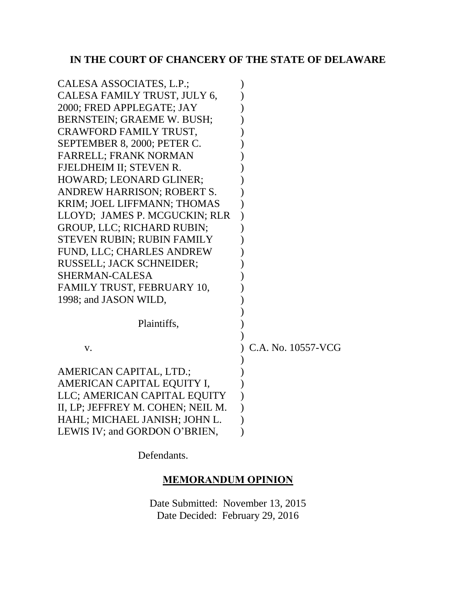# **IN THE COURT OF CHANCERY OF THE STATE OF DELAWARE**

| CALESA ASSOCIATES, L.P.;          |                    |
|-----------------------------------|--------------------|
| CALESA FAMILY TRUST, JULY 6,      |                    |
| 2000; FRED APPLEGATE; JAY         |                    |
| <b>BERNSTEIN; GRAEME W. BUSH;</b> |                    |
| CRAWFORD FAMILY TRUST,            |                    |
| SEPTEMBER 8, 2000; PETER C.       |                    |
| <b>FARRELL; FRANK NORMAN</b>      |                    |
| FJELDHEIM II; STEVEN R.           |                    |
| HOWARD; LEONARD GLINER;           |                    |
| ANDREW HARRISON; ROBERT S.        |                    |
| KRIM; JOEL LIFFMANN; THOMAS       |                    |
| LLOYD; JAMES P. MCGUCKIN; RLR     |                    |
| <b>GROUP, LLC; RICHARD RUBIN;</b> |                    |
| STEVEN RUBIN; RUBIN FAMILY        |                    |
| FUND, LLC; CHARLES ANDREW         |                    |
| <b>RUSSELL; JACK SCHNEIDER;</b>   |                    |
| <b>SHERMAN-CALESA</b>             |                    |
| FAMILY TRUST, FEBRUARY 10,        |                    |
| 1998; and JASON WILD,             |                    |
|                                   |                    |
| Plaintiffs,                       |                    |
|                                   |                    |
| V.                                | C.A. No. 10557-VCG |
|                                   |                    |
| AMERICAN CAPITAL, LTD.;           |                    |
| AMERICAN CAPITAL EQUITY I,        |                    |
| LLC; AMERICAN CAPITAL EQUITY      |                    |
| II, LP; JEFFREY M. COHEN; NEIL M. |                    |
| HAHL; MICHAEL JANISH; JOHN L.     |                    |
| LEWIS IV; and GORDON O'BRIEN,     |                    |

Defendants.

## **MEMORANDUM OPINION**

Date Submitted: November 13, 2015 Date Decided: February 29, 2016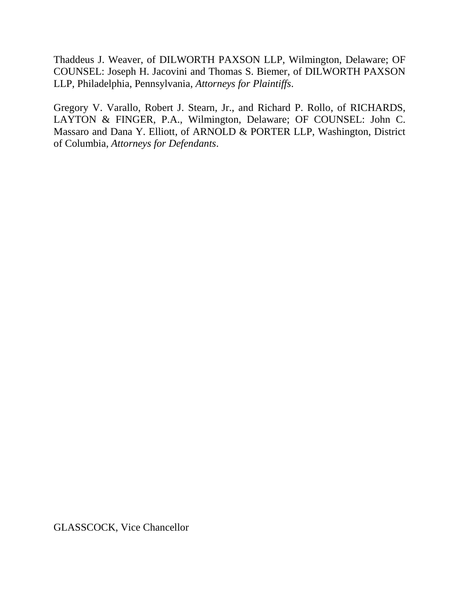Thaddeus J. Weaver, of DILWORTH PAXSON LLP, Wilmington, Delaware; OF COUNSEL: Joseph H. Jacovini and Thomas S. Biemer, of DILWORTH PAXSON LLP, Philadelphia, Pennsylvania, *Attorneys for Plaintiffs*.

Gregory V. Varallo, Robert J. Stearn, Jr., and Richard P. Rollo, of RICHARDS, LAYTON & FINGER, P.A., Wilmington, Delaware; OF COUNSEL: John C. Massaro and Dana Y. Elliott, of ARNOLD & PORTER LLP, Washington, District of Columbia, *Attorneys for Defendants*.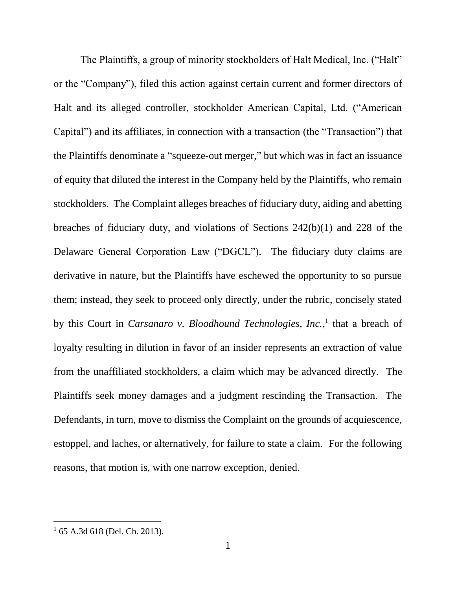The Plaintiffs, a group of minority stockholders of Halt Medical, Inc. ("Halt" or the "Company"), filed this action against certain current and former directors of Halt and its alleged controller, stockholder American Capital, Ltd. ("American Capital") and its affiliates, in connection with a transaction (the "Transaction") that the Plaintiffs denominate a "squeeze-out merger," but which was in fact an issuance of equity that diluted the interest in the Company held by the Plaintiffs, who remain stockholders. The Complaint alleges breaches of fiduciary duty, aiding and abetting breaches of fiduciary duty, and violations of Sections 242(b)(1) and 228 of the Delaware General Corporation Law ("DGCL"). The fiduciary duty claims are derivative in nature, but the Plaintiffs have eschewed the opportunity to so pursue them; instead, they seek to proceed only directly, under the rubric, concisely stated by this Court in *Carsanaro v. Bloodhound Technologies, Inc.*,<sup>1</sup> that a breach of loyalty resulting in dilution in favor of an insider represents an extraction of value from the unaffiliated stockholders, a claim which may be advanced directly. The Plaintiffs seek money damages and a judgment rescinding the Transaction. The Defendants, in turn, move to dismiss the Complaint on the grounds of acquiescence, estoppel, and laches, or alternatively, for failure to state a claim. For the following reasons, that motion is, with one narrow exception, denied.

<sup>1</sup> 65 A.3d 618 (Del. Ch. 2013).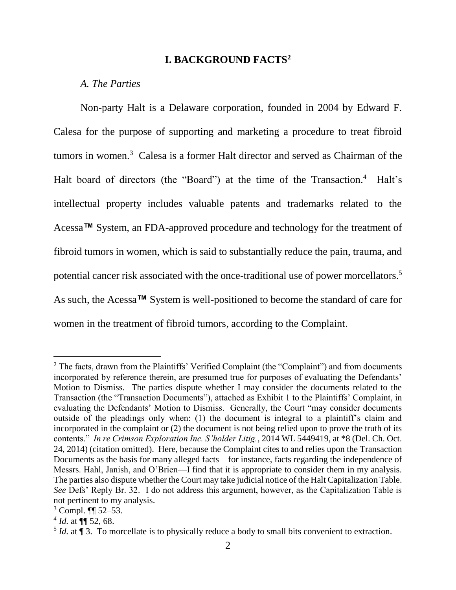#### **I. BACKGROUND FACTS<sup>2</sup>**

### *A. The Parties*

Non-party Halt is a Delaware corporation, founded in 2004 by Edward F. Calesa for the purpose of supporting and marketing a procedure to treat fibroid tumors in women.<sup>3</sup> Calesa is a former Halt director and served as Chairman of the Halt board of directors (the "Board") at the time of the Transaction.<sup>4</sup> Halt's intellectual property includes valuable patents and trademarks related to the Acessa**™** System, an FDA-approved procedure and technology for the treatment of fibroid tumors in women, which is said to substantially reduce the pain, trauma, and potential cancer risk associated with the once-traditional use of power morcellators.<sup>5</sup> As such, the Acessa**™** System is well-positioned to become the standard of care for women in the treatment of fibroid tumors, according to the Complaint.

<sup>&</sup>lt;sup>2</sup> The facts, drawn from the Plaintiffs' Verified Complaint (the "Complaint") and from documents incorporated by reference therein, are presumed true for purposes of evaluating the Defendants' Motion to Dismiss. The parties dispute whether I may consider the documents related to the Transaction (the "Transaction Documents"), attached as Exhibit 1 to the Plaintiffs' Complaint, in evaluating the Defendants' Motion to Dismiss. Generally, the Court "may consider documents outside of the pleadings only when: (1) the document is integral to a plaintiff's claim and incorporated in the complaint or (2) the document is not being relied upon to prove the truth of its contents." *In re Crimson Exploration Inc. S'holder Litig.*, 2014 WL 5449419, at \*8 (Del. Ch. Oct. 24, 2014) (citation omitted). Here, because the Complaint cites to and relies upon the Transaction Documents as the basis for many alleged facts—for instance, facts regarding the independence of Messrs. Hahl, Janish, and O'Brien—I find that it is appropriate to consider them in my analysis. The parties also dispute whether the Court may take judicial notice of the Halt Capitalization Table. *See* Defs' Reply Br. 32. I do not address this argument, however, as the Capitalization Table is not pertinent to my analysis.

 $3$  Compl.  $\P$  52–53.

*<sup>4</sup> Id.* at ¶¶ 52, 68.

 $<sup>5</sup>$  *Id.* at  $\llbracket$  3. To morcellate is to physically reduce a body to small bits convenient to extraction.</sup>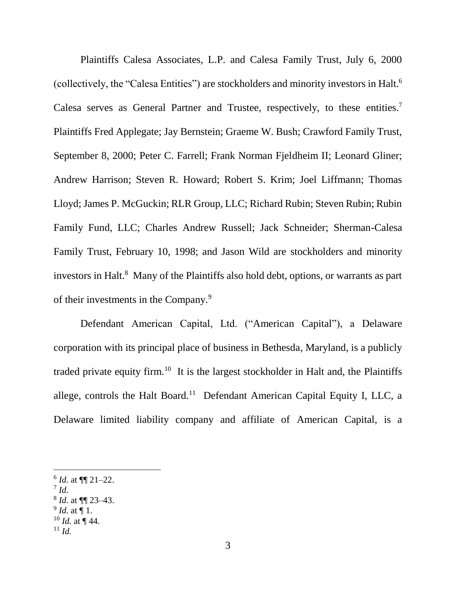Plaintiffs Calesa Associates, L.P. and Calesa Family Trust, July 6, 2000 (collectively, the "Calesa Entities") are stockholders and minority investors in Halt. 6 Calesa serves as General Partner and Trustee, respectively, to these entities.<sup>7</sup> Plaintiffs Fred Applegate; Jay Bernstein; Graeme W. Bush; Crawford Family Trust, September 8, 2000; Peter C. Farrell; Frank Norman Fjeldheim II; Leonard Gliner; Andrew Harrison; Steven R. Howard; Robert S. Krim; Joel Liffmann; Thomas Lloyd; James P. McGuckin; RLR Group, LLC; Richard Rubin; Steven Rubin; Rubin Family Fund, LLC; Charles Andrew Russell; Jack Schneider; Sherman-Calesa Family Trust, February 10, 1998; and Jason Wild are stockholders and minority investors in Halt.<sup>8</sup> Many of the Plaintiffs also hold debt, options, or warrants as part of their investments in the Company.<sup>9</sup>

Defendant American Capital, Ltd. ("American Capital"), a Delaware corporation with its principal place of business in Bethesda, Maryland, is a publicly traded private equity firm.<sup>10</sup> It is the largest stockholder in Halt and, the Plaintiffs allege, controls the Halt Board.<sup>11</sup> Defendant American Capital Equity I, LLC, a Delaware limited liability company and affiliate of American Capital, is a

7 *Id.*

- 8 *Id.* at ¶¶ 23–43.
- 9 *Id.* at ¶ 1.
- $10$  *Id.* at ¶ 44.

 $^6$  *Id.* at  $\P\P$  21–22.

 $11 \, Id.$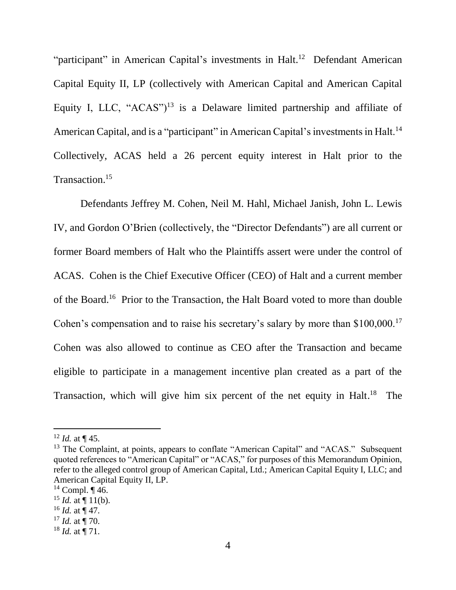"participant" in American Capital's investments in Halt.<sup>12</sup> Defendant American Capital Equity II, LP (collectively with American Capital and American Capital Equity I, LLC, " $ACAS$ ")<sup>13</sup> is a Delaware limited partnership and affiliate of American Capital, and is a "participant" in American Capital's investments in Halt.<sup>14</sup> Collectively, ACAS held a 26 percent equity interest in Halt prior to the Transaction.<sup>15</sup>

Defendants Jeffrey M. Cohen, Neil M. Hahl, Michael Janish, John L. Lewis IV, and Gordon O'Brien (collectively, the "Director Defendants") are all current or former Board members of Halt who the Plaintiffs assert were under the control of ACAS. Cohen is the Chief Executive Officer (CEO) of Halt and a current member of the Board.<sup>16</sup> Prior to the Transaction, the Halt Board voted to more than double Cohen's compensation and to raise his secretary's salary by more than \$100,000.<sup>17</sup> Cohen was also allowed to continue as CEO after the Transaction and became eligible to participate in a management incentive plan created as a part of the Transaction, which will give him six percent of the net equity in Halt.<sup>18</sup> The

 $12$  *Id.* at ¶ 45.

<sup>&</sup>lt;sup>13</sup> The Complaint, at points, appears to conflate "American Capital" and "ACAS." Subsequent quoted references to "American Capital" or "ACAS," for purposes of this Memorandum Opinion, refer to the alleged control group of American Capital, Ltd.; American Capital Equity I, LLC; and American Capital Equity II, LP.

 $14$  Compl.  $\P$  46.

 $15$  *Id.* at  $\P$  11(b).

 $^{16}$  *Id.* at ¶ 47.

 $17$  *Id.* at ¶ 70.

 $18$  *Id.* at ¶ 71.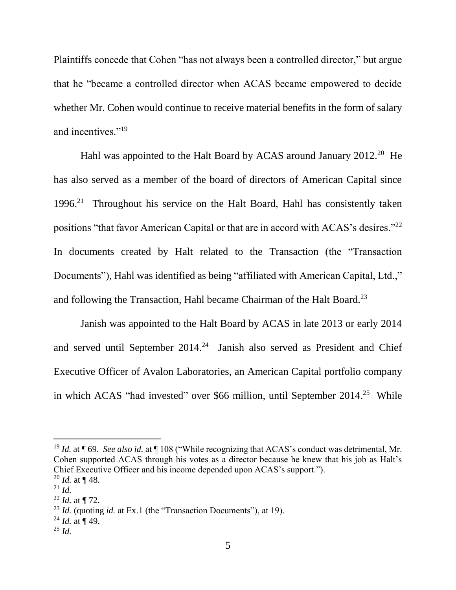Plaintiffs concede that Cohen "has not always been a controlled director," but argue that he "became a controlled director when ACAS became empowered to decide whether Mr. Cohen would continue to receive material benefits in the form of salary and incentives."<sup>19</sup>

Hahl was appointed to the Halt Board by ACAS around January 2012.<sup>20</sup> He has also served as a member of the board of directors of American Capital since 1996. 21 Throughout his service on the Halt Board, Hahl has consistently taken positions "that favor American Capital or that are in accord with ACAS's desires."<sup>22</sup> In documents created by Halt related to the Transaction (the "Transaction Documents"), Hahl was identified as being "affiliated with American Capital, Ltd.," and following the Transaction, Hahl became Chairman of the Halt Board.<sup>23</sup>

Janish was appointed to the Halt Board by ACAS in late 2013 or early 2014 and served until September  $2014<sup>24</sup>$  Janish also served as President and Chief Executive Officer of Avalon Laboratories, an American Capital portfolio company in which ACAS "had invested" over \$66 million, until September 2014.<sup>25</sup> While

<sup>19</sup> *Id.* at ¶ 69. *See also id.* at ¶ 108 ("While recognizing that ACAS's conduct was detrimental, Mr. Cohen supported ACAS through his votes as a director because he knew that his job as Halt's Chief Executive Officer and his income depended upon ACAS's support."). <sup>20</sup> *Id.* at ¶ 48.

<sup>21</sup> *Id.*

<sup>22</sup> *Id.* at ¶ 72.

<sup>23</sup> *Id.* (quoting *id.* at Ex.1 (the "Transaction Documents"), at 19).

 $^{24}$  *Id.* at ¶ 49.

<sup>25</sup> *Id.*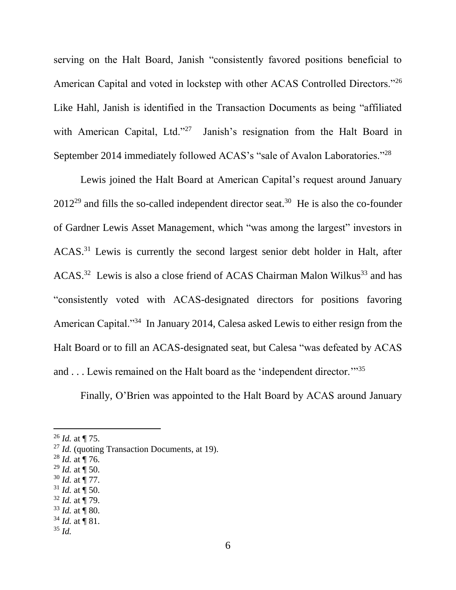serving on the Halt Board, Janish "consistently favored positions beneficial to American Capital and voted in lockstep with other ACAS Controlled Directors."<sup>26</sup> Like Hahl, Janish is identified in the Transaction Documents as being "affiliated with American Capital, Ltd."<sup>27</sup> Janish's resignation from the Halt Board in September 2014 immediately followed ACAS's "sale of Avalon Laboratories."<sup>28</sup>

Lewis joined the Halt Board at American Capital's request around January  $2012^{29}$  and fills the so-called independent director seat.<sup>30</sup> He is also the co-founder of Gardner Lewis Asset Management, which "was among the largest" investors in ACAS.<sup>31</sup> Lewis is currently the second largest senior debt holder in Halt, after  $ACAS$ <sup>32</sup> Lewis is also a close friend of  $ACAS$  Chairman Malon Wilkus<sup>33</sup> and has "consistently voted with ACAS-designated directors for positions favoring American Capital."<sup>34</sup> In January 2014, Calesa asked Lewis to either resign from the Halt Board or to fill an ACAS-designated seat, but Calesa "was defeated by ACAS and . . . Lewis remained on the Halt board as the 'independent director.'"<sup>35</sup>

Finally, O'Brien was appointed to the Halt Board by ACAS around January

- <sup>28</sup> *Id.* at ¶ 76.
- <sup>29</sup> *Id.* at  $\int$  50.
- <sup>30</sup> *Id.* at ¶ 77.
- $31$  *Id.* at  $\P$  50.
- <sup>32</sup> *Id.* at ¶ 79.
- $33$  *Id.* at **[80.**]
- $34$  *Id.* at **[81.**] <sup>35</sup> *Id.*

<sup>26</sup> *Id.* at ¶ 75.

<sup>&</sup>lt;sup>27</sup> *Id.* (quoting Transaction Documents, at 19).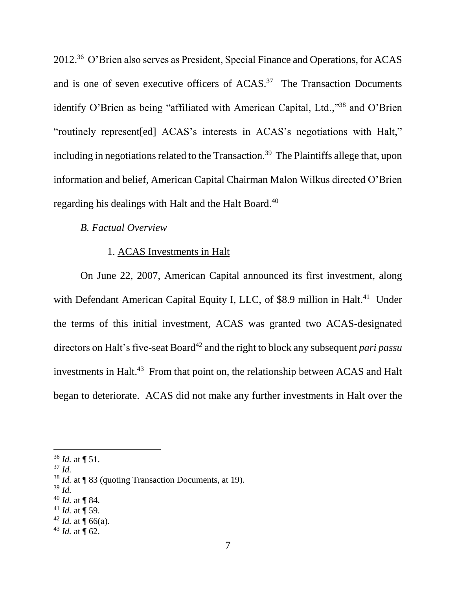2012.<sup>36</sup> O'Brien also serves as President, Special Finance and Operations, for ACAS and is one of seven executive officers of  $ACAS$ <sup>37</sup> The Transaction Documents identify O'Brien as being "affiliated with American Capital, Ltd.,"<sup>38</sup> and O'Brien "routinely represent[ed] ACAS's interests in ACAS's negotiations with Halt," including in negotiations related to the Transaction.<sup>39</sup> The Plaintiffs allege that, upon information and belief, American Capital Chairman Malon Wilkus directed O'Brien regarding his dealings with Halt and the Halt Board.<sup>40</sup>

### *B. Factual Overview*

## 1. ACAS Investments in Halt

On June 22, 2007, American Capital announced its first investment, along with Defendant American Capital Equity I, LLC, of \$8.9 million in Halt.<sup>41</sup> Under the terms of this initial investment, ACAS was granted two ACAS-designated directors on Halt's five-seat Board<sup>42</sup> and the right to block any subsequent *pari passu* investments in Halt. 43 From that point on, the relationship between ACAS and Halt began to deteriorate. ACAS did not make any further investments in Halt over the

<sup>37</sup> *Id.*

l

- <sup>39</sup> *Id.*
- <sup>40</sup> *Id.* at ¶ 84.
- $41$  *Id.* at  $\overline{9}$  59.

 $43$  *Id.* at  $\P$  62.

<sup>36</sup> *Id.* at ¶ 51.

<sup>38</sup> *Id.* at ¶ 83 (quoting Transaction Documents, at 19).

<sup>&</sup>lt;sup>42</sup> *Id.* at  $\P$  66(a).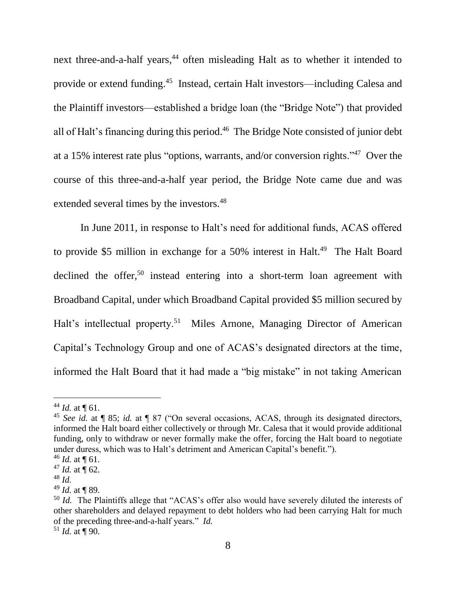next three-and-a-half years,<sup>44</sup> often misleading Halt as to whether it intended to provide or extend funding.<sup>45</sup> Instead, certain Halt investors—including Calesa and the Plaintiff investors—established a bridge loan (the "Bridge Note") that provided all of Halt's financing during this period. 46 The Bridge Note consisted of junior debt at a 15% interest rate plus "options, warrants, and/or conversion rights."<sup>47</sup> Over the course of this three-and-a-half year period, the Bridge Note came due and was extended several times by the investors.<sup>48</sup>

In June 2011, in response to Halt's need for additional funds, ACAS offered to provide \$5 million in exchange for a 50% interest in Halt.<sup>49</sup> The Halt Board declined the offer,<sup>50</sup> instead entering into a short-term loan agreement with Broadband Capital, under which Broadband Capital provided \$5 million secured by Halt's intellectual property.<sup>51</sup> Miles Arnone, Managing Director of American Capital's Technology Group and one of ACAS's designated directors at the time, informed the Halt Board that it had made a "big mistake" in not taking American

<sup>&</sup>lt;sup>44</sup> *Id.* at  $\P$  61.

<sup>45</sup> *See id.* at ¶ 85; *id.* at ¶ 87 ("On several occasions, ACAS, through its designated directors, informed the Halt board either collectively or through Mr. Calesa that it would provide additional funding, only to withdraw or never formally make the offer, forcing the Halt board to negotiate under duress, which was to Halt's detriment and American Capital's benefit.").

 $46$  *Id.* at  $\P$  61.

<sup>&</sup>lt;sup>47</sup> *Id.* at  $\P$  62.

<sup>48</sup> *Id.*

<sup>49</sup> *Id.* at ¶ 89.

<sup>&</sup>lt;sup>50</sup> *Id.* The Plaintiffs allege that "ACAS's offer also would have severely diluted the interests of other shareholders and delayed repayment to debt holders who had been carrying Halt for much of the preceding three-and-a-half years." *Id.*

 $51$  *Id.* at ¶ 90.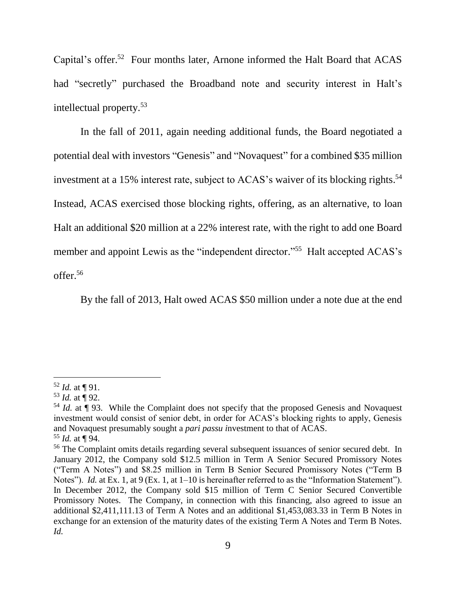Capital's offer.<sup>52</sup> Four months later, Arnone informed the Halt Board that ACAS had "secretly" purchased the Broadband note and security interest in Halt's intellectual property.<sup>53</sup>

In the fall of 2011, again needing additional funds, the Board negotiated a potential deal with investors "Genesis" and "Novaquest" for a combined \$35 million investment at a 15% interest rate, subject to ACAS's waiver of its blocking rights. 54 Instead, ACAS exercised those blocking rights, offering, as an alternative, to loan Halt an additional \$20 million at a 22% interest rate, with the right to add one Board member and appoint Lewis as the "independent director."<sup>55</sup> Halt accepted ACAS's offer.<sup>56</sup>

By the fall of 2013, Halt owed ACAS \$50 million under a note due at the end

 $\overline{a}$  $52$  *Id.* at **[91.**]

 $53$  *Id.* at  $\frac{1}{9}$  92.

<sup>&</sup>lt;sup>54</sup> *Id.* at ¶ 93. While the Complaint does not specify that the proposed Genesis and Novaquest investment would consist of senior debt, in order for ACAS's blocking rights to apply, Genesis and Novaquest presumably sought a *pari passu i*nvestment to that of ACAS. <sup>55</sup> *Id.* at ¶ 94.

<sup>&</sup>lt;sup>56</sup> The Complaint omits details regarding several subsequent issuances of senior secured debt. In January 2012, the Company sold \$12.5 million in Term A Senior Secured Promissory Notes ("Term A Notes") and \$8.25 million in Term B Senior Secured Promissory Notes ("Term B Notes"). *Id.* at Ex. 1, at 9 (Ex. 1, at 1–10 is hereinafter referred to as the "Information Statement"). In December 2012, the Company sold \$15 million of Term C Senior Secured Convertible Promissory Notes. The Company, in connection with this financing, also agreed to issue an additional \$2,411,111.13 of Term A Notes and an additional \$1,453,083.33 in Term B Notes in exchange for an extension of the maturity dates of the existing Term A Notes and Term B Notes. *Id.*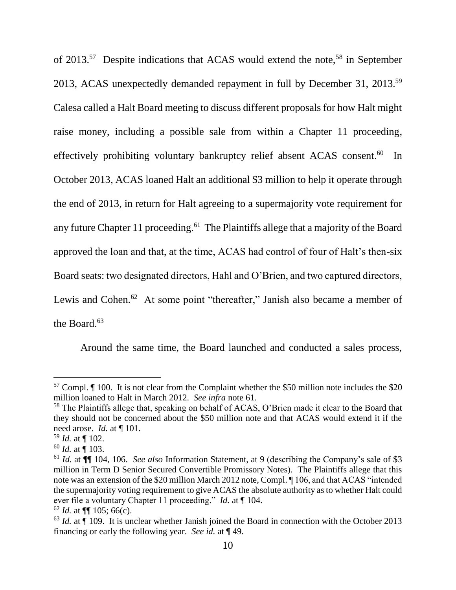of 2013.<sup>57</sup> Despite indications that ACAS would extend the note,<sup>58</sup> in September 2013, ACAS unexpectedly demanded repayment in full by December 31, 2013.<sup>59</sup> Calesa called a Halt Board meeting to discuss different proposals for how Halt might raise money, including a possible sale from within a Chapter 11 proceeding, effectively prohibiting voluntary bankruptcy relief absent ACAS consent.<sup>60</sup> In October 2013, ACAS loaned Halt an additional \$3 million to help it operate through the end of 2013, in return for Halt agreeing to a supermajority vote requirement for any future Chapter 11 proceeding.<sup>61</sup> The Plaintiffs allege that a majority of the Board approved the loan and that, at the time, ACAS had control of four of Halt's then-six Board seats: two designated directors, Hahl and O'Brien, and two captured directors, Lewis and Cohen.<sup>62</sup> At some point "thereafter," Janish also became a member of the Board. $63$ 

<span id="page-11-0"></span>Around the same time, the Board launched and conducted a sales process,

 $57$  Compl.  $\P$  100. It is not clear from the Complaint whether the \$50 million note includes the \$20 million loaned to Halt in March 2012. *See infra* note [61.](#page-11-0)

<sup>&</sup>lt;sup>58</sup> The Plaintiffs allege that, speaking on behalf of ACAS, O'Brien made it clear to the Board that they should not be concerned about the \$50 million note and that ACAS would extend it if the need arose. *Id.* at ¶ 101.

 $59$  *Id.* at  $\P$  102.

<sup>60</sup> *Id.* at ¶ 103.

<sup>61</sup> *Id.* at ¶¶ 104, 106. *See also* Information Statement, at 9 (describing the Company's sale of \$3 million in Term D Senior Secured Convertible Promissory Notes). The Plaintiffs allege that this note was an extension of the \$20 million March 2012 note, Compl. ¶ 106, and that ACAS "intended the supermajority voting requirement to give ACAS the absolute authority as to whether Halt could ever file a voluntary Chapter 11 proceeding." *Id.* at ¶ 104.

 $62$  *Id.* at  $\P\P$  105; 66(c).

 $63$  *Id.* at  $\hat{\mathbb{q}}$  109. It is unclear whether Janish joined the Board in connection with the October 2013 financing or early the following year. *See id.* at ¶ 49.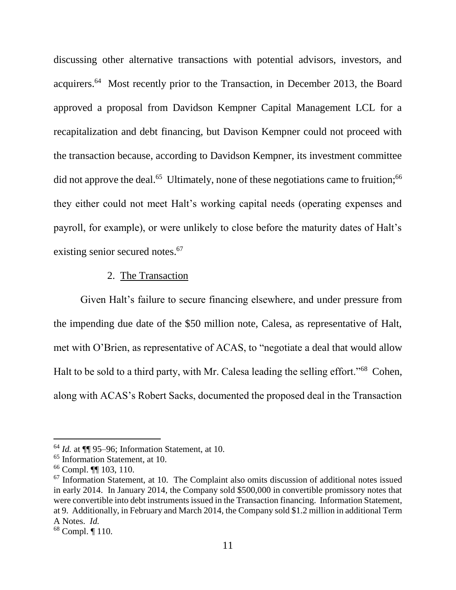discussing other alternative transactions with potential advisors, investors, and acquirers.<sup>64</sup> Most recently prior to the Transaction, in December 2013, the Board approved a proposal from Davidson Kempner Capital Management LCL for a recapitalization and debt financing, but Davison Kempner could not proceed with the transaction because, according to Davidson Kempner, its investment committee did not approve the deal.<sup>65</sup> Ultimately, none of these negotiations came to fruition;<sup>66</sup> they either could not meet Halt's working capital needs (operating expenses and payroll, for example), or were unlikely to close before the maturity dates of Halt's existing senior secured notes.<sup>67</sup>

## 2. The Transaction

Given Halt's failure to secure financing elsewhere, and under pressure from the impending due date of the \$50 million note, Calesa, as representative of Halt, met with O'Brien, as representative of ACAS, to "negotiate a deal that would allow Halt to be sold to a third party, with Mr. Calesa leading the selling effort."<sup>68</sup> Cohen, along with ACAS's Robert Sacks, documented the proposed deal in the Transaction

<sup>64</sup> *Id.* at ¶¶ 95–96; Information Statement, at 10.

<sup>65</sup> Information Statement, at 10.

<sup>66</sup> Compl. ¶¶ 103, 110.

 $67$  Information Statement, at 10. The Complaint also omits discussion of additional notes issued in early 2014. In January 2014, the Company sold \$500,000 in convertible promissory notes that were convertible into debt instruments issued in the Transaction financing. Information Statement, at 9. Additionally, in February and March 2014, the Company sold \$1.2 million in additional Term A Notes. *Id.*

<sup>68</sup> Compl. ¶ 110.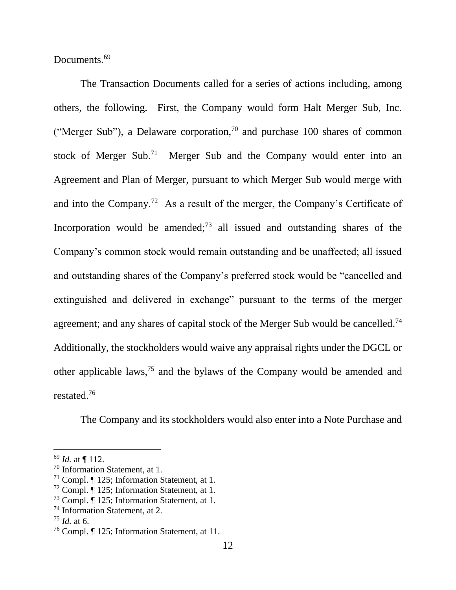Documents.<sup>69</sup>

The Transaction Documents called for a series of actions including, among others, the following. First, the Company would form Halt Merger Sub, Inc. ("Merger Sub"), a Delaware corporation, $^{70}$  and purchase 100 shares of common stock of Merger Sub.<sup>71</sup> Merger Sub and the Company would enter into an Agreement and Plan of Merger, pursuant to which Merger Sub would merge with and into the Company.<sup>72</sup> As a result of the merger, the Company's Certificate of Incorporation would be amended;<sup>73</sup> all issued and outstanding shares of the Company's common stock would remain outstanding and be unaffected; all issued and outstanding shares of the Company's preferred stock would be "cancelled and extinguished and delivered in exchange" pursuant to the terms of the merger agreement; and any shares of capital stock of the Merger Sub would be cancelled.<sup>74</sup> Additionally, the stockholders would waive any appraisal rights under the DGCL or other applicable laws, <sup>75</sup> and the bylaws of the Company would be amended and restated. 76

The Company and its stockholders would also enter into a Note Purchase and

<sup>69</sup> *Id.* at ¶ 112.

<sup>70</sup> Information Statement, at 1.

<sup>71</sup> Compl. ¶ 125; Information Statement, at 1.

<sup>72</sup> Compl. ¶ 125; Information Statement, at 1.

<sup>73</sup> Compl. ¶ 125; Information Statement, at 1.

<sup>74</sup> Information Statement, at 2.

<sup>75</sup> *Id.* at 6.

<sup>76</sup> Compl. ¶ 125; Information Statement, at 11.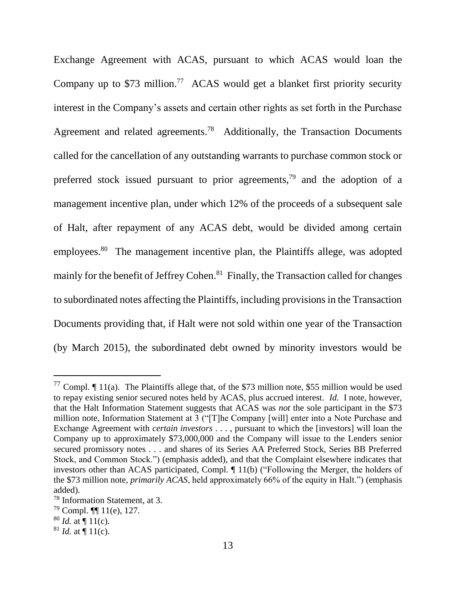Exchange Agreement with ACAS, pursuant to which ACAS would loan the Company up to  $$73$  million.<sup>77</sup> ACAS would get a blanket first priority security interest in the Company's assets and certain other rights as set forth in the Purchase Agreement and related agreements.<sup>78</sup> Additionally, the Transaction Documents called for the cancellation of any outstanding warrants to purchase common stock or preferred stock issued pursuant to prior agreements,<sup>79</sup> and the adoption of a management incentive plan, under which 12% of the proceeds of a subsequent sale of Halt, after repayment of any ACAS debt, would be divided among certain employees.<sup>80</sup> The management incentive plan, the Plaintiffs allege, was adopted mainly for the benefit of Jeffrey Cohen.<sup>81</sup> Finally, the Transaction called for changes to subordinated notes affecting the Plaintiffs, including provisions in the Transaction Documents providing that, if Halt were not sold within one year of the Transaction (by March 2015), the subordinated debt owned by minority investors would be

<sup>&</sup>lt;sup>77</sup> Compl.  $\P$  11(a). The Plaintiffs allege that, of the \$73 million note, \$55 million would be used to repay existing senior secured notes held by ACAS, plus accrued interest. *Id.* I note, however, that the Halt Information Statement suggests that ACAS was *not* the sole participant in the \$73 million note, Information Statement at 3 ("[T]he Company [will] enter into a Note Purchase and Exchange Agreement with *certain investors* . . . , pursuant to which the [investors] will loan the Company up to approximately \$73,000,000 and the Company will issue to the Lenders senior secured promissory notes . . . and shares of its Series AA Preferred Stock, Series BB Preferred Stock, and Common Stock.") (emphasis added), and that the Complaint elsewhere indicates that investors other than ACAS participated, Compl. ¶ 11(b) ("Following the Merger, the holders of the \$73 million note, *primarily ACAS*, held approximately 66% of the equity in Halt.") (emphasis added).

<sup>78</sup> Information Statement, at 3.

 $79$  Compl. **[1]** 11(e), 127.

 $80$  *Id.* at  $\P$  11(c).

 $81$  *Id.* at  $\P$  11(c).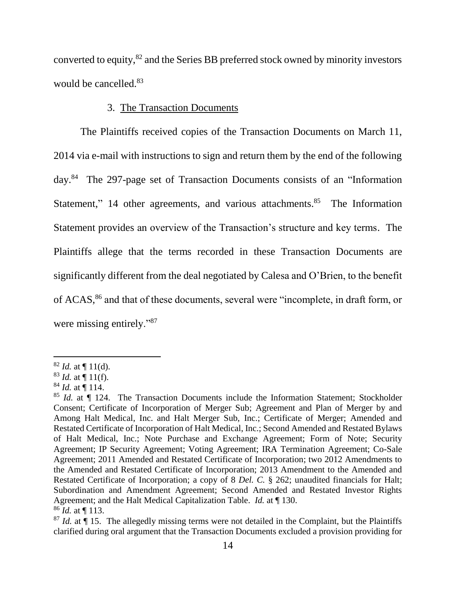converted to equity,<sup>82</sup> and the Series BB preferred stock owned by minority investors would be cancelled.<sup>83</sup>

## 3. The Transaction Documents

The Plaintiffs received copies of the Transaction Documents on March 11, 2014 via e-mail with instructions to sign and return them by the end of the following day.<sup>84</sup> The 297-page set of Transaction Documents consists of an "Information Statement," 14 other agreements, and various attachments.<sup>85</sup> The Information Statement provides an overview of the Transaction's structure and key terms. The Plaintiffs allege that the terms recorded in these Transaction Documents are significantly different from the deal negotiated by Calesa and O'Brien, to the benefit of ACAS,<sup>86</sup> and that of these documents, several were "incomplete, in draft form, or were missing entirely."<sup>87</sup>

 $82$  *Id.* at  $\P$  11(d).

 $83$  *Id.* at  $\P$  11(f).

<sup>84</sup> *Id.* at ¶ 114.

<sup>&</sup>lt;sup>85</sup> *Id.* at  $\P$  124. The Transaction Documents include the Information Statement; Stockholder Consent; Certificate of Incorporation of Merger Sub; Agreement and Plan of Merger by and Among Halt Medical, Inc. and Halt Merger Sub, Inc.; Certificate of Merger; Amended and Restated Certificate of Incorporation of Halt Medical, Inc.; Second Amended and Restated Bylaws of Halt Medical, Inc.; Note Purchase and Exchange Agreement; Form of Note; Security Agreement; IP Security Agreement; Voting Agreement; IRA Termination Agreement; Co-Sale Agreement; 2011 Amended and Restated Certificate of Incorporation; two 2012 Amendments to the Amended and Restated Certificate of Incorporation; 2013 Amendment to the Amended and Restated Certificate of Incorporation; a copy of 8 *Del. C.* § 262; unaudited financials for Halt; Subordination and Amendment Agreement; Second Amended and Restated Investor Rights Agreement; and the Halt Medical Capitalization Table. *Id.* at ¶ 130. <sup>86</sup> *Id.* at ¶ 113.

 $87$  *Id.* at  $\hat{\mathbb{I}}$  15. The allegedly missing terms were not detailed in the Complaint, but the Plaintiffs clarified during oral argument that the Transaction Documents excluded a provision providing for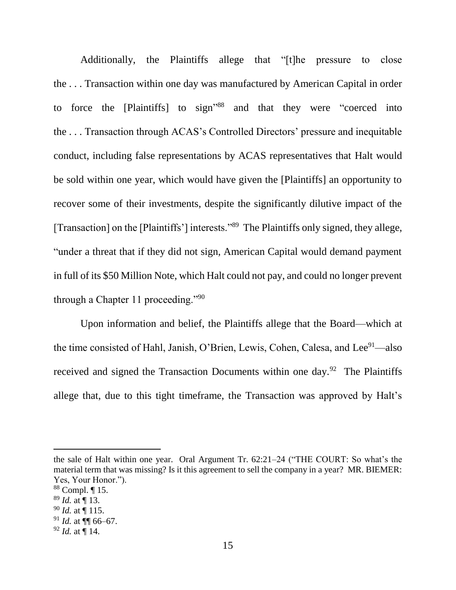Additionally, the Plaintiffs allege that "[t]he pressure to close the . . . Transaction within one day was manufactured by American Capital in order to force the [Plaintiffs] to sign" <sup>88</sup> and that they were "coerced into the . . . Transaction through ACAS's Controlled Directors' pressure and inequitable conduct, including false representations by ACAS representatives that Halt would be sold within one year, which would have given the [Plaintiffs] an opportunity to recover some of their investments, despite the significantly dilutive impact of the [Transaction] on the [Plaintiffs'] interests."<sup>89</sup> The Plaintiffs only signed, they allege, "under a threat that if they did not sign, American Capital would demand payment in full of its \$50 Million Note, which Halt could not pay, and could no longer prevent through a Chapter 11 proceeding."<sup>90</sup>

Upon information and belief, the Plaintiffs allege that the Board—which at the time consisted of Hahl, Janish, O'Brien, Lewis, Cohen, Calesa, and Lee<sup>91</sup>—also received and signed the Transaction Documents within one day.<sup>92</sup> The Plaintiffs allege that, due to this tight timeframe, the Transaction was approved by Halt's

the sale of Halt within one year. Oral Argument Tr. 62:21–24 ("THE COURT: So what's the material term that was missing? Is it this agreement to sell the company in a year? MR. BIEMER: Yes, Your Honor.").

<sup>88</sup> Compl. ¶ 15.

<sup>89</sup> *Id.* at ¶ 13.

<sup>90</sup> *Id.* at ¶ 115.

<sup>91</sup> *Id.* at ¶¶ 66–67.

<sup>92</sup> *Id.* at ¶ 14.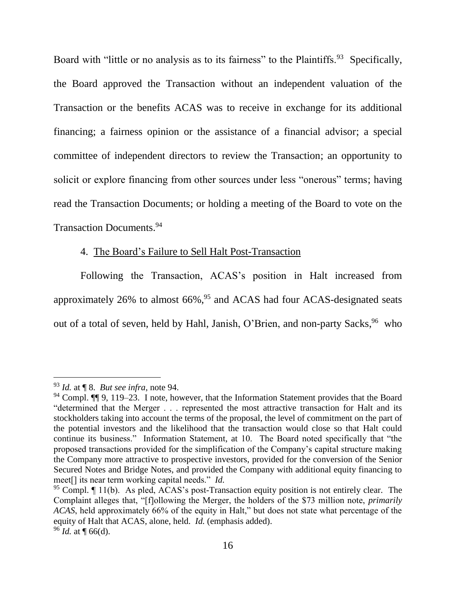Board with "little or no analysis as to its fairness" to the Plaintiffs.<sup>93</sup> Specifically, the Board approved the Transaction without an independent valuation of the Transaction or the benefits ACAS was to receive in exchange for its additional financing; a fairness opinion or the assistance of a financial advisor; a special committee of independent directors to review the Transaction; an opportunity to solicit or explore financing from other sources under less "onerous" terms; having read the Transaction Documents; or holding a meeting of the Board to vote on the Transaction Documents. 94

## <span id="page-17-0"></span>4. The Board's Failure to Sell Halt Post-Transaction

Following the Transaction, ACAS's position in Halt increased from approximately 26% to almost  $66\%$ ,  $95$  and ACAS had four ACAS-designated seats out of a total of seven, held by Hahl, Janish, O'Brien, and non-party Sacks, <sup>96</sup> who

<sup>93</sup> *Id.* at ¶ 8. *But see infra*, note [94.](#page-17-0)

<sup>&</sup>lt;sup>94</sup> Compl.  $\P\P$  9, 119–23. I note, however, that the Information Statement provides that the Board "determined that the Merger . . . represented the most attractive transaction for Halt and its stockholders taking into account the terms of the proposal, the level of commitment on the part of the potential investors and the likelihood that the transaction would close so that Halt could continue its business." Information Statement, at 10. The Board noted specifically that "the proposed transactions provided for the simplification of the Company's capital structure making the Company more attractive to prospective investors, provided for the conversion of the Senior Secured Notes and Bridge Notes, and provided the Company with additional equity financing to meet[] its near term working capital needs." *Id.*

 $95$  Compl.  $\P$  11(b). As pled, ACAS's post-Transaction equity position is not entirely clear. The Complaint alleges that, "[f]ollowing the Merger, the holders of the \$73 million note, *primarily ACAS*, held approximately 66% of the equity in Halt," but does not state what percentage of the equity of Halt that ACAS, alone, held. *Id.* (emphasis added). <sup>96</sup> *Id.* at ¶ 66(d).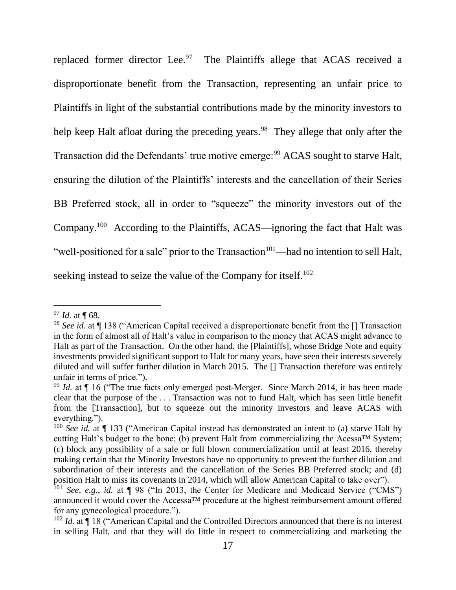replaced former director Lee.<sup>97</sup> The Plaintiffs allege that ACAS received a disproportionate benefit from the Transaction, representing an unfair price to Plaintiffs in light of the substantial contributions made by the minority investors to help keep Halt afloat during the preceding years.<sup>98</sup> They allege that only after the Transaction did the Defendants' true motive emerge:<sup>99</sup> ACAS sought to starve Halt, ensuring the dilution of the Plaintiffs' interests and the cancellation of their Series BB Preferred stock, all in order to "squeeze" the minority investors out of the Company.<sup>100</sup> According to the Plaintiffs, ACAS—ignoring the fact that Halt was "well-positioned for a sale" prior to the Transaction $101$ —had no intention to sell Halt, seeking instead to seize the value of the Company for itself.<sup>102</sup>

<sup>97</sup> *Id.* at ¶ 68.

<sup>&</sup>lt;sup>98</sup> See id. at ¶ 138 ("American Capital received a disproportionate benefit from the [] Transaction in the form of almost all of Halt's value in comparison to the money that ACAS might advance to Halt as part of the Transaction. On the other hand, the [Plaintiffs], whose Bridge Note and equity investments provided significant support to Halt for many years, have seen their interests severely diluted and will suffer further dilution in March 2015. The [] Transaction therefore was entirely unfair in terms of price.").

<sup>&</sup>lt;sup>99</sup> *Id.* at ¶ 16 ("The true facts only emerged post-Merger. Since March 2014, it has been made clear that the purpose of the . . . Transaction was not to fund Halt, which has seen little benefit from the [Transaction], but to squeeze out the minority investors and leave ACAS with everything.").

<sup>&</sup>lt;sup>100</sup> See id. at ¶ 133 ("American Capital instead has demonstrated an intent to (a) starve Halt by cutting Halt's budget to the bone; (b) prevent Halt from commercializing the Acessa™ System; (c) block any possibility of a sale or full blown commercialization until at least 2016, thereby making certain that the Minority Investors have no opportunity to prevent the further dilution and subordination of their interests and the cancellation of the Series BB Preferred stock; and (d) position Halt to miss its covenants in 2014, which will allow American Capital to take over").

<sup>101</sup> *See, e.g.*, *id.* at ¶ 98 ("In 2013, the Center for Medicare and Medicaid Service ("CMS") announced it would cover the Accessa™ procedure at the highest reimbursement amount offered for any gynecological procedure.").

<sup>&</sup>lt;sup>102</sup> *Id.* at ¶ 18 ("American Capital and the Controlled Directors announced that there is no interest in selling Halt, and that they will do little in respect to commercializing and marketing the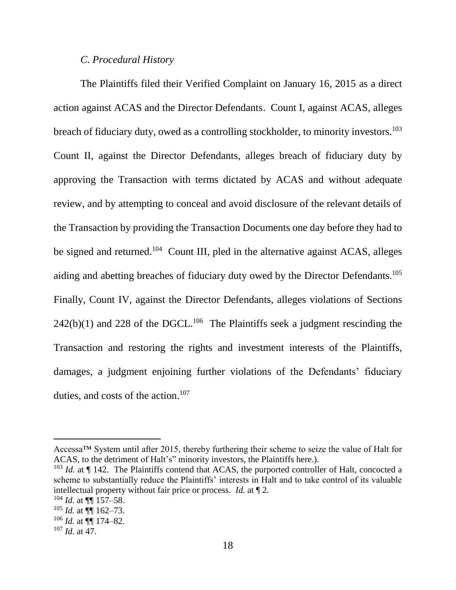#### *C. Procedural History*

The Plaintiffs filed their Verified Complaint on January 16, 2015 as a direct action against ACAS and the Director Defendants. Count I, against ACAS, alleges breach of fiduciary duty, owed as a controlling stockholder, to minority investors.<sup>103</sup> Count II, against the Director Defendants, alleges breach of fiduciary duty by approving the Transaction with terms dictated by ACAS and without adequate review, and by attempting to conceal and avoid disclosure of the relevant details of the Transaction by providing the Transaction Documents one day before they had to be signed and returned.<sup>104</sup> Count III, pled in the alternative against ACAS, alleges aiding and abetting breaches of fiduciary duty owed by the Director Defendants.<sup>105</sup> Finally, Count IV, against the Director Defendants, alleges violations of Sections  $242(b)(1)$  and  $228$  of the DGCL.<sup>106</sup> The Plaintiffs seek a judgment rescinding the Transaction and restoring the rights and investment interests of the Plaintiffs, damages, a judgment enjoining further violations of the Defendants' fiduciary duties, and costs of the action. 107

Accessa™ System until after 2015, thereby furthering their scheme to seize the value of Halt for ACAS, to the detriment of Halt's" minority investors, the Plaintiffs here.).

<sup>&</sup>lt;sup>103</sup> *Id.* at  $\P$  142. The Plaintiffs contend that ACAS, the purported controller of Halt, concocted a scheme to substantially reduce the Plaintiffs' interests in Halt and to take control of its valuable intellectual property without fair price or process. *Id.* at ¶ 2.

 $104$  *Id.* at  $\P\P$  157–58.

 $105$  *Id.* at  $\P\P$  162–73.

 $106$  *Id.* at  $\P\P$  174–82.

<sup>107</sup> *Id.* at 47.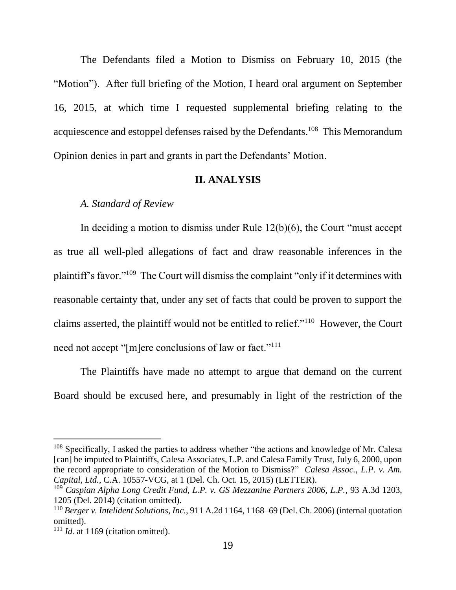The Defendants filed a Motion to Dismiss on February 10, 2015 (the "Motion"). After full briefing of the Motion, I heard oral argument on September 16, 2015, at which time I requested supplemental briefing relating to the acquiescence and estoppel defenses raised by the Defendants.<sup>108</sup> This Memorandum Opinion denies in part and grants in part the Defendants' Motion.

#### **II. ANALYSIS**

#### *A. Standard of Review*

In deciding a motion to dismiss under Rule 12(b)(6), the Court "must accept as true all well-pled allegations of fact and draw reasonable inferences in the plaintiff's favor."<sup>109</sup> The Court will dismiss the complaint "only if it determines with reasonable certainty that, under any set of facts that could be proven to support the claims asserted, the plaintiff would not be entitled to relief."<sup>110</sup> However, the Court need not accept "[m]ere conclusions of law or fact."<sup>111</sup>

The Plaintiffs have made no attempt to argue that demand on the current Board should be excused here, and presumably in light of the restriction of the

<sup>&</sup>lt;sup>108</sup> Specifically, I asked the parties to address whether "the actions and knowledge of Mr. Calesa [can] be imputed to Plaintiffs, Calesa Associates, L.P. and Calesa Family Trust, July 6, 2000, upon the record appropriate to consideration of the Motion to Dismiss?" *Calesa Assoc., L.P. v. Am. Capital, Ltd.*, C.A. 10557-VCG, at 1 (Del. Ch. Oct. 15, 2015) (LETTER).

<sup>109</sup> *Caspian Alpha Long Credit Fund, L.P. v. GS Mezzanine Partners 2006, L.P.*, 93 A.3d 1203, 1205 (Del. 2014) (citation omitted).

<sup>110</sup> *Berger v. Intelident Solutions, Inc.*, 911 A.2d 1164, 1168–69 (Del. Ch. 2006) (internal quotation omitted).

<sup>&</sup>lt;sup>111</sup> *Id.* at 1169 (citation omitted).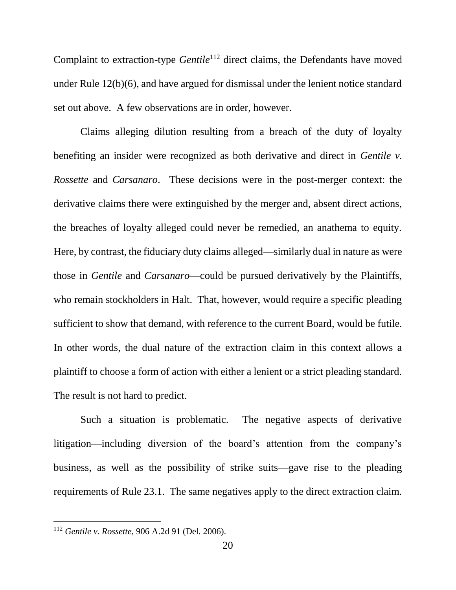Complaint to extraction-type *Gentile*<sup>112</sup> direct claims, the Defendants have moved under Rule 12(b)(6), and have argued for dismissal under the lenient notice standard set out above. A few observations are in order, however.

Claims alleging dilution resulting from a breach of the duty of loyalty benefiting an insider were recognized as both derivative and direct in *Gentile v. Rossette* and *Carsanaro*. These decisions were in the post-merger context: the derivative claims there were extinguished by the merger and, absent direct actions, the breaches of loyalty alleged could never be remedied, an anathema to equity. Here, by contrast, the fiduciary duty claims alleged—similarly dual in nature as were those in *Gentile* and *Carsanaro*—could be pursued derivatively by the Plaintiffs, who remain stockholders in Halt. That, however, would require a specific pleading sufficient to show that demand, with reference to the current Board, would be futile. In other words, the dual nature of the extraction claim in this context allows a plaintiff to choose a form of action with either a lenient or a strict pleading standard. The result is not hard to predict.

Such a situation is problematic. The negative aspects of derivative litigation—including diversion of the board's attention from the company's business, as well as the possibility of strike suits—gave rise to the pleading requirements of Rule 23.1. The same negatives apply to the direct extraction claim.

<sup>112</sup> *Gentile v. Rossette*, 906 A.2d 91 (Del. 2006).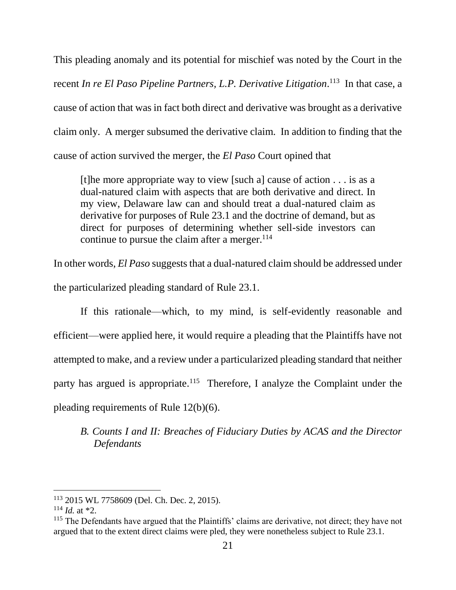This pleading anomaly and its potential for mischief was noted by the Court in the recent *In re El Paso Pipeline Partners, L.P. Derivative Litigation*. <sup>113</sup> In that case, a cause of action that was in fact both direct and derivative was brought as a derivative claim only. A merger subsumed the derivative claim. In addition to finding that the cause of action survived the merger, the *El Paso* Court opined that

[t]he more appropriate way to view [such a] cause of action . . . is as a dual-natured claim with aspects that are both derivative and direct. In my view, Delaware law can and should treat a dual-natured claim as derivative for purposes of Rule 23.1 and the doctrine of demand, but as direct for purposes of determining whether sell-side investors can continue to pursue the claim after a merger.  $114$ 

In other words, *El Paso* suggests that a dual-natured claim should be addressed under the particularized pleading standard of Rule 23.1.

If this rationale—which, to my mind, is self-evidently reasonable and efficient—were applied here, it would require a pleading that the Plaintiffs have not attempted to make, and a review under a particularized pleading standard that neither party has argued is appropriate.<sup>115</sup> Therefore, I analyze the Complaint under the pleading requirements of Rule 12(b)(6).

# *B. Counts I and II: Breaches of Fiduciary Duties by ACAS and the Director Defendants*

<sup>113</sup> 2015 WL 7758609 (Del. Ch. Dec. 2, 2015).

 $114$  *Id.* at \*2.

<sup>&</sup>lt;sup>115</sup> The Defendants have argued that the Plaintiffs' claims are derivative, not direct; they have not argued that to the extent direct claims were pled, they were nonetheless subject to Rule 23.1.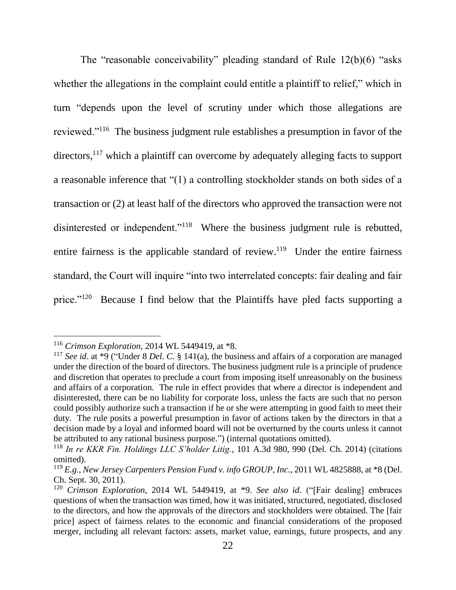The "reasonable conceivability" pleading standard of Rule 12(b)(6) "asks whether the allegations in the complaint could entitle a plaintiff to relief," which in turn "depends upon the level of scrutiny under which those allegations are reviewed."<sup>116</sup> The business judgment rule establishes a presumption in favor of the directors,<sup>117</sup> which a plaintiff can overcome by adequately alleging facts to support a reasonable inference that "(1) a controlling stockholder stands on both sides of a transaction or (2) at least half of the directors who approved the transaction were not disinterested or independent."<sup>118</sup> Where the business judgment rule is rebutted, entire fairness is the applicable standard of review.<sup>119</sup> Under the entire fairness standard, the Court will inquire "into two interrelated concepts: fair dealing and fair price."<sup>120</sup> Because I find below that the Plaintiffs have pled facts supporting a

<sup>116</sup> *Crimson Exploration*, 2014 WL 5449419, at \*8.

<sup>&</sup>lt;sup>117</sup> *See id.* at  $*9$  ("Under 8 *Del. C.* § 141(a), the business and affairs of a corporation are managed under the direction of the board of directors. The business judgment rule is a principle of prudence and discretion that operates to preclude a court from imposing itself unreasonably on the business and affairs of a corporation. The rule in effect provides that where a director is independent and disinterested, there can be no liability for corporate loss, unless the facts are such that no person could possibly authorize such a transaction if he or she were attempting in good faith to meet their duty. The rule posits a powerful presumption in favor of actions taken by the directors in that a decision made by a loyal and informed board will not be overturned by the courts unless it cannot be attributed to any rational business purpose.") (internal quotations omitted).

<sup>118</sup> *In re KKR Fin. Holdings LLC S'holder Litig.*, 101 A.3d 980, 990 (Del. Ch. 2014) (citations omitted).

<sup>119</sup> *E.g.*, *New Jersey Carpenters Pension Fund v. info GROUP, Inc.*, 2011 WL 4825888, at \*8 (Del. Ch. Sept. 30, 2011).

<sup>120</sup> *Crimson Exploration*, 2014 WL 5449419, at \*9. *See also id.* ("[Fair dealing] embraces questions of when the transaction was timed, how it was initiated, structured, negotiated, disclosed to the directors, and how the approvals of the directors and stockholders were obtained. The [fair price] aspect of fairness relates to the economic and financial considerations of the proposed merger, including all relevant factors: assets, market value, earnings, future prospects, and any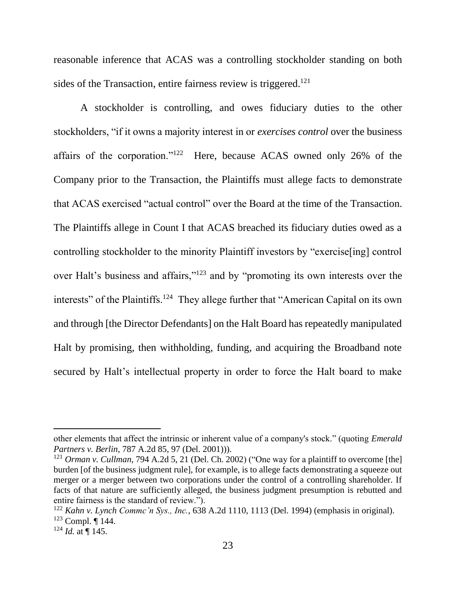reasonable inference that ACAS was a controlling stockholder standing on both sides of the Transaction, entire fairness review is triggered.<sup>121</sup>

A stockholder is controlling, and owes fiduciary duties to the other stockholders, "if it owns a majority interest in or *exercises control* over the business affairs of the corporation."<sup>122</sup> Here, because ACAS owned only 26% of the Company prior to the Transaction, the Plaintiffs must allege facts to demonstrate that ACAS exercised "actual control" over the Board at the time of the Transaction. The Plaintiffs allege in Count I that ACAS breached its fiduciary duties owed as a controlling stockholder to the minority Plaintiff investors by "exercise[ing] control over Halt's business and affairs,"<sup>123</sup> and by "promoting its own interests over the interests" of the Plaintiffs.<sup>124</sup> They allege further that "American Capital on its own and through [the Director Defendants] on the Halt Board has repeatedly manipulated Halt by promising, then withholding, funding, and acquiring the Broadband note secured by Halt's intellectual property in order to force the Halt board to make

other elements that affect the intrinsic or inherent value of a company's stock." (quoting *Emerald Partners v. Berlin*, 787 A.2d 85, 97 (Del. 2001))).

<sup>121</sup> *Orman v. Cullman*, 794 A.2d 5, 21 (Del. Ch. 2002) ("One way for a plaintiff to overcome [the] burden [of the business judgment rule], for example, is to allege facts demonstrating a squeeze out merger or a merger between two corporations under the control of a controlling shareholder. If facts of that nature are sufficiently alleged, the business judgment presumption is rebutted and entire fairness is the standard of review.").

<sup>122</sup> *Kahn v. Lynch Commc'n Sys., Inc.*, 638 A.2d 1110, 1113 (Del. 1994) (emphasis in original).  $123$  Compl. ¶ 144.

 $124$  *Id.* at ¶ 145.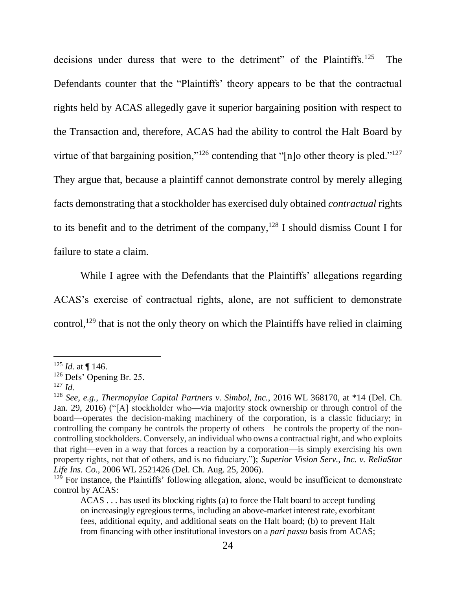decisions under duress that were to the detriment" of the Plaintiffs.<sup>125</sup> The Defendants counter that the "Plaintiffs' theory appears to be that the contractual rights held by ACAS allegedly gave it superior bargaining position with respect to the Transaction and, therefore, ACAS had the ability to control the Halt Board by virtue of that bargaining position,"<sup>126</sup> contending that "[n]o other theory is pled."<sup>127</sup> They argue that, because a plaintiff cannot demonstrate control by merely alleging facts demonstrating that a stockholder has exercised duly obtained *contractual* rights to its benefit and to the detriment of the company,  $128$  I should dismiss Count I for failure to state a claim.

While I agree with the Defendants that the Plaintiffs' allegations regarding ACAS's exercise of contractual rights, alone, are not sufficient to demonstrate control,<sup>129</sup> that is not the only theory on which the Plaintiffs have relied in claiming

 $125$  *Id.* at ¶ 146.

<sup>126</sup> Defs' Opening Br. 25.

<sup>127</sup> *Id.*

<sup>128</sup> *See, e.g.*, *Thermopylae Capital Partners v. Simbol, Inc.*, 2016 WL 368170, at \*14 (Del. Ch. Jan. 29, 2016) ("[A] stockholder who—via majority stock ownership or through control of the board—operates the decision-making machinery of the corporation, is a classic fiduciary; in controlling the company he controls the property of others—he controls the property of the noncontrolling stockholders. Conversely, an individual who owns a contractual right, and who exploits that right—even in a way that forces a reaction by a corporation—is simply exercising his own property rights, not that of others, and is no fiduciary."); *Superior Vision Serv., Inc. v. ReliaStar Life Ins. Co.*, 2006 WL 2521426 (Del. Ch. Aug. 25, 2006).

<sup>&</sup>lt;sup>129</sup> For instance, the Plaintiffs' following allegation, alone, would be insufficient to demonstrate control by ACAS:

ACAS . . . has used its blocking rights (a) to force the Halt board to accept funding on increasingly egregious terms, including an above-market interest rate, exorbitant fees, additional equity, and additional seats on the Halt board; (b) to prevent Halt from financing with other institutional investors on a *pari passu* basis from ACAS;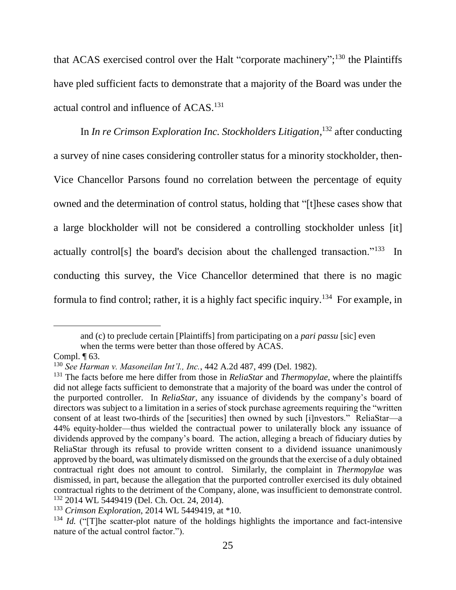that ACAS exercised control over the Halt "corporate machinery";<sup>130</sup> the Plaintiffs have pled sufficient facts to demonstrate that a majority of the Board was under the actual control and influence of ACAS.<sup>131</sup>

In *In re Crimson Exploration Inc. Stockholders Litigation*, <sup>132</sup> after conducting a survey of nine cases considering controller status for a minority stockholder, then-Vice Chancellor Parsons found no correlation between the percentage of equity owned and the determination of control status, holding that "[t]hese cases show that a large blockholder will not be considered a controlling stockholder unless [it] actually control[s] the board's decision about the challenged transaction."<sup>133</sup> In conducting this survey, the Vice Chancellor determined that there is no magic formula to find control; rather, it is a highly fact specific inquiry.<sup>134</sup> For example, in

and (c) to preclude certain [Plaintiffs] from participating on a *pari passu* [sic] even

when the terms were better than those offered by ACAS.

Compl. ¶ 63.

<sup>130</sup> *See Harman v. Masoneilan Int'l., Inc.*, 442 A.2d 487, 499 (Del. 1982).

<sup>131</sup> The facts before me here differ from those in *ReliaStar* and *Thermopylae*, where the plaintiffs did not allege facts sufficient to demonstrate that a majority of the board was under the control of the purported controller. In *ReliaStar*, any issuance of dividends by the company's board of directors was subject to a limitation in a series of stock purchase agreements requiring the "written consent of at least two-thirds of the [securities] then owned by such [i]nvestors." ReliaStar—a 44% equity-holder—thus wielded the contractual power to unilaterally block any issuance of dividends approved by the company's board. The action, alleging a breach of fiduciary duties by ReliaStar through its refusal to provide written consent to a dividend issuance unanimously approved by the board, was ultimately dismissed on the grounds that the exercise of a duly obtained contractual right does not amount to control. Similarly, the complaint in *Thermopylae* was dismissed, in part, because the allegation that the purported controller exercised its duly obtained contractual rights to the detriment of the Company, alone, was insufficient to demonstrate control. <sup>132</sup> 2014 WL 5449419 (Del. Ch. Oct. 24, 2014).

<sup>133</sup> *Crimson Exploration*, 2014 WL 5449419, at \*10.

<sup>&</sup>lt;sup>134</sup> *Id.* ("The scatter-plot nature of the holdings highlights the importance and fact-intensive nature of the actual control factor.").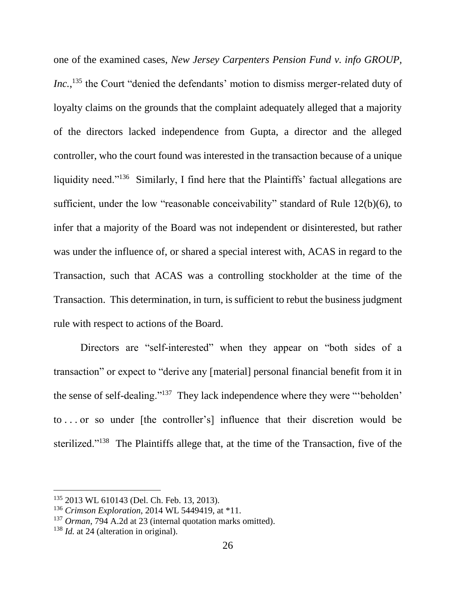one of the examined cases, *New Jersey Carpenters Pension Fund v. info GROUP,*  Inc.,<sup>135</sup> the Court "denied the defendants' motion to dismiss merger-related duty of loyalty claims on the grounds that the complaint adequately alleged that a majority of the directors lacked independence from Gupta, a director and the alleged controller, who the court found was interested in the transaction because of a unique liquidity need."<sup>136</sup> Similarly, I find here that the Plaintiffs' factual allegations are sufficient, under the low "reasonable conceivability" standard of Rule 12(b)(6), to infer that a majority of the Board was not independent or disinterested, but rather was under the influence of, or shared a special interest with, ACAS in regard to the Transaction, such that ACAS was a controlling stockholder at the time of the Transaction. This determination, in turn, is sufficient to rebut the business judgment rule with respect to actions of the Board.

Directors are "self-interested" when they appear on "both sides of a transaction" or expect to "derive any [material] personal financial benefit from it in the sense of self-dealing."<sup>137</sup> They lack independence where they were "beholden' to . . . or so under [the controller's] influence that their discretion would be sterilized."<sup>138</sup> The Plaintiffs allege that, at the time of the Transaction, five of the

<sup>135</sup> 2013 WL 610143 (Del. Ch. Feb. 13, 2013).

<sup>136</sup> *Crimson Exploration*, 2014 WL 5449419, at \*11.

<sup>137</sup> *Orman*, 794 A.2d at 23 (internal quotation marks omitted).

<sup>&</sup>lt;sup>138</sup> *Id.* at 24 (alteration in original).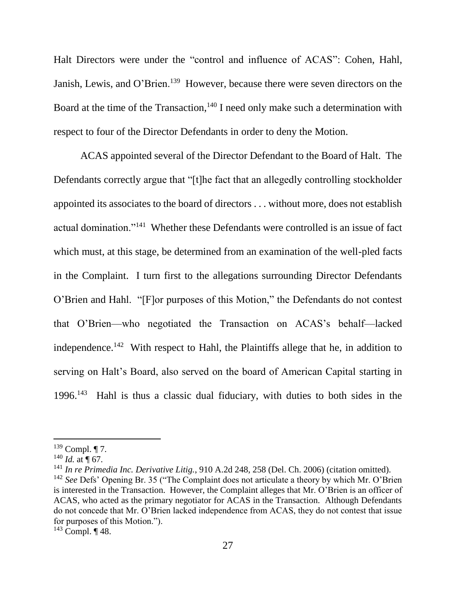Halt Directors were under the "control and influence of ACAS": Cohen, Hahl, Janish, Lewis, and O'Brien.<sup>139</sup> However, because there were seven directors on the Board at the time of the Transaction,<sup>140</sup> I need only make such a determination with respect to four of the Director Defendants in order to deny the Motion.

ACAS appointed several of the Director Defendant to the Board of Halt. The Defendants correctly argue that "[t]he fact that an allegedly controlling stockholder appointed its associates to the board of directors . . . without more, does not establish actual domination."<sup>141</sup> Whether these Defendants were controlled is an issue of fact which must, at this stage, be determined from an examination of the well-pled facts in the Complaint. I turn first to the allegations surrounding Director Defendants O'Brien and Hahl. "[F]or purposes of this Motion," the Defendants do not contest that O'Brien—who negotiated the Transaction on ACAS's behalf—lacked independence.<sup>142</sup> With respect to Hahl, the Plaintiffs allege that he, in addition to serving on Halt's Board, also served on the board of American Capital starting in 1996. 143 Hahl is thus a classic dual fiduciary, with duties to both sides in the

 $139$  Compl. ¶ 7.

 $140$  *Id.* at  $\P$  67.

<sup>141</sup> *In re Primedia Inc. Derivative Litig.*, 910 A.2d 248, 258 (Del. Ch. 2006) (citation omitted).

<sup>142</sup> *See* Defs' Opening Br. 35 ("The Complaint does not articulate a theory by which Mr. O'Brien is interested in the Transaction. However, the Complaint alleges that Mr. O'Brien is an officer of ACAS, who acted as the primary negotiator for ACAS in the Transaction. Although Defendants do not concede that Mr. O'Brien lacked independence from ACAS, they do not contest that issue for purposes of this Motion.").

 $143$  Compl. ¶ 48.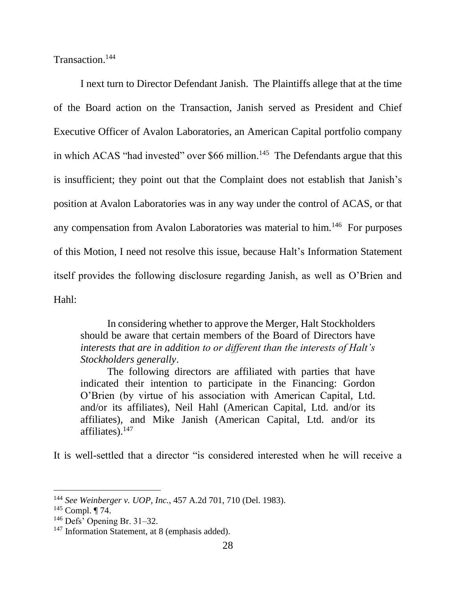Transaction.<sup>144</sup>

I next turn to Director Defendant Janish. The Plaintiffs allege that at the time of the Board action on the Transaction, Janish served as President and Chief Executive Officer of Avalon Laboratories, an American Capital portfolio company in which ACAS "had invested" over  $$66$  million.<sup>145</sup> The Defendants argue that this is insufficient; they point out that the Complaint does not establish that Janish's position at Avalon Laboratories was in any way under the control of ACAS, or that any compensation from Avalon Laboratories was material to him.<sup>146</sup> For purposes of this Motion, I need not resolve this issue, because Halt's Information Statement itself provides the following disclosure regarding Janish, as well as O'Brien and Hahl:

In considering whether to approve the Merger, Halt Stockholders should be aware that certain members of the Board of Directors have *interests that are in addition to or different than the interests of Halt's Stockholders generally*.

The following directors are affiliated with parties that have indicated their intention to participate in the Financing: Gordon O'Brien (by virtue of his association with American Capital, Ltd. and/or its affiliates), Neil Hahl (American Capital, Ltd. and/or its affiliates), and Mike Janish (American Capital, Ltd. and/or its affiliates). $147$ 

It is well-settled that a director "is considered interested when he will receive a

<sup>144</sup> *See Weinberger v. UOP, Inc.*, 457 A.2d 701, 710 (Del. 1983).

<sup>145</sup> Compl. ¶ 74.

<sup>146</sup> Defs' Opening Br. 31–32.

<sup>&</sup>lt;sup>147</sup> Information Statement, at 8 (emphasis added).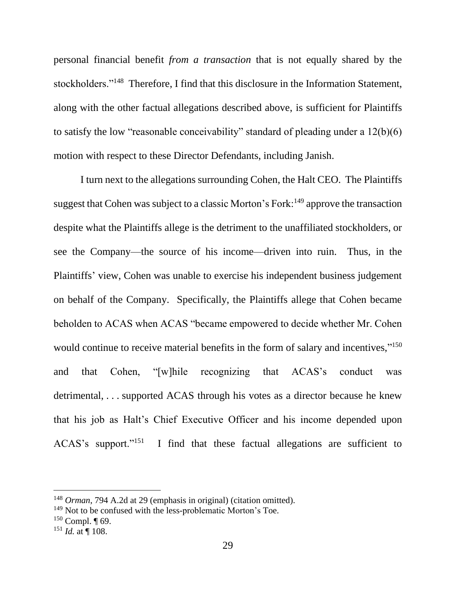personal financial benefit *from a transaction* that is not equally shared by the stockholders."<sup>148</sup> Therefore, I find that this disclosure in the Information Statement, along with the other factual allegations described above, is sufficient for Plaintiffs to satisfy the low "reasonable conceivability" standard of pleading under a 12(b)(6) motion with respect to these Director Defendants, including Janish.

I turn next to the allegations surrounding Cohen, the Halt CEO. The Plaintiffs suggest that Cohen was subject to a classic Morton's Fork:<sup>149</sup> approve the transaction despite what the Plaintiffs allege is the detriment to the unaffiliated stockholders, or see the Company—the source of his income—driven into ruin. Thus, in the Plaintiffs' view, Cohen was unable to exercise his independent business judgement on behalf of the Company. Specifically, the Plaintiffs allege that Cohen became beholden to ACAS when ACAS "became empowered to decide whether Mr. Cohen would continue to receive material benefits in the form of salary and incentives,"<sup>150</sup> and that Cohen, "[w]hile recognizing that ACAS's conduct was detrimental, . . . supported ACAS through his votes as a director because he knew that his job as Halt's Chief Executive Officer and his income depended upon ACAS's support."<sup>151</sup> I find that these factual allegations are sufficient to

<sup>148</sup> *Orman*, 794 A.2d at 29 (emphasis in original) (citation omitted).

<sup>&</sup>lt;sup>149</sup> Not to be confused with the less-problematic Morton's Toe.

 $150$  Compl.  $\P$  69.

 $151$  *Id.* at ¶ 108.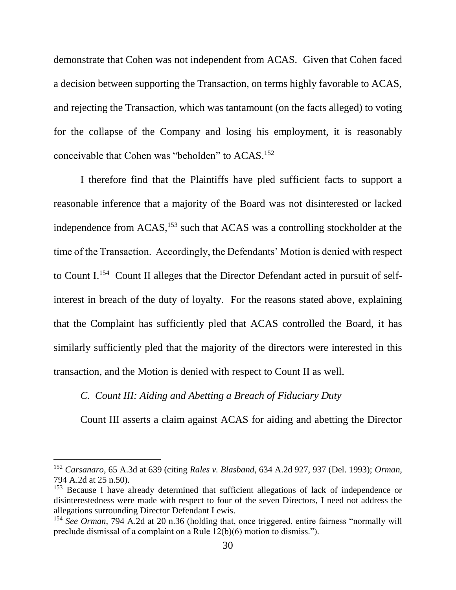demonstrate that Cohen was not independent from ACAS. Given that Cohen faced a decision between supporting the Transaction, on terms highly favorable to ACAS, and rejecting the Transaction, which was tantamount (on the facts alleged) to voting for the collapse of the Company and losing his employment, it is reasonably conceivable that Cohen was "beholden" to ACAS.<sup>152</sup>

I therefore find that the Plaintiffs have pled sufficient facts to support a reasonable inference that a majority of the Board was not disinterested or lacked independence from ACAS,<sup>153</sup> such that ACAS was a controlling stockholder at the time of the Transaction. Accordingly, the Defendants' Motion is denied with respect to Count I.<sup>154</sup> Count II alleges that the Director Defendant acted in pursuit of selfinterest in breach of the duty of loyalty. For the reasons stated above, explaining that the Complaint has sufficiently pled that ACAS controlled the Board, it has similarly sufficiently pled that the majority of the directors were interested in this transaction, and the Motion is denied with respect to Count II as well.

### *C. Count III: Aiding and Abetting a Breach of Fiduciary Duty*

l

Count III asserts a claim against ACAS for aiding and abetting the Director

<sup>152</sup> *Carsanaro*, 65 A.3d at 639 (citing *Rales v. Blasband*, 634 A.2d 927, 937 (Del. 1993); *Orman*, 794 A.2d at 25 n.50).

<sup>&</sup>lt;sup>153</sup> Because I have already determined that sufficient allegations of lack of independence or disinterestedness were made with respect to four of the seven Directors, I need not address the allegations surrounding Director Defendant Lewis.

<sup>154</sup> *See Orman*, 794 A.2d at 20 n.36 (holding that, once triggered, entire fairness "normally will preclude dismissal of a complaint on a Rule 12(b)(6) motion to dismiss.").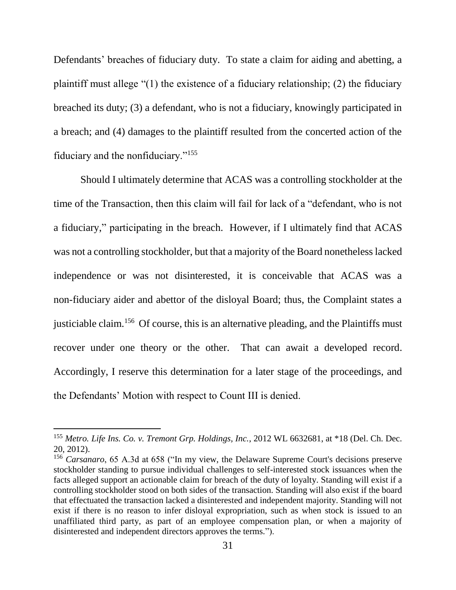Defendants' breaches of fiduciary duty. To state a claim for aiding and abetting, a plaintiff must allege "(1) the existence of a fiduciary relationship; (2) the fiduciary breached its duty; (3) a defendant, who is not a fiduciary, knowingly participated in a breach; and (4) damages to the plaintiff resulted from the concerted action of the fiduciary and the nonfiduciary."<sup>155</sup>

Should I ultimately determine that ACAS was a controlling stockholder at the time of the Transaction, then this claim will fail for lack of a "defendant, who is not a fiduciary," participating in the breach. However, if I ultimately find that ACAS was not a controlling stockholder, but that a majority of the Board nonetheless lacked independence or was not disinterested, it is conceivable that ACAS was a non-fiduciary aider and abettor of the disloyal Board; thus, the Complaint states a justiciable claim.<sup>156</sup> Of course, this is an alternative pleading, and the Plaintiffs must recover under one theory or the other. That can await a developed record. Accordingly, I reserve this determination for a later stage of the proceedings, and the Defendants' Motion with respect to Count III is denied.

<sup>155</sup> *Metro. Life Ins. Co. v. Tremont Grp. Holdings, Inc.*, 2012 WL 6632681, at \*18 (Del. Ch. Dec. 20, 2012).

<sup>156</sup> *Carsanaro*, 65 A.3d at 658 ("In my view, the Delaware Supreme Court's decisions preserve stockholder standing to pursue individual challenges to self-interested stock issuances when the facts alleged support an actionable claim for breach of the duty of loyalty. Standing will exist if a controlling stockholder stood on both sides of the transaction. Standing will also exist if the board that effectuated the transaction lacked a disinterested and independent majority. Standing will not exist if there is no reason to infer disloyal expropriation, such as when stock is issued to an unaffiliated third party, as part of an employee compensation plan, or when a majority of disinterested and independent directors approves the terms.").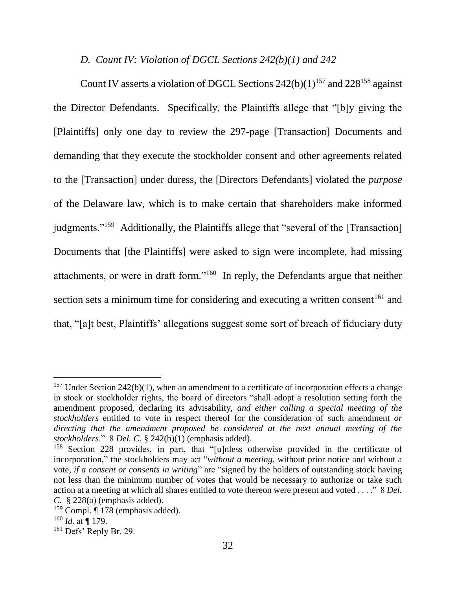## *D. Count IV: Violation of DGCL Sections 242(b)(1) and 242*

Count IV asserts a violation of DGCL Sections  $242(b)(1)^{157}$  and  $228^{158}$  against the Director Defendants. Specifically, the Plaintiffs allege that "[b]y giving the [Plaintiffs] only one day to review the 297-page [Transaction] Documents and demanding that they execute the stockholder consent and other agreements related to the [Transaction] under duress, the [Directors Defendants] violated the *purpose* of the Delaware law, which is to make certain that shareholders make informed judgments."<sup>159</sup> Additionally, the Plaintiffs allege that "several of the [Transaction] Documents that [the Plaintiffs] were asked to sign were incomplete, had missing attachments, or were in draft form."<sup>160</sup> In reply, the Defendants argue that neither section sets a minimum time for considering and executing a written consent  $161$  and that, "[a]t best, Plaintiffs' allegations suggest some sort of breach of fiduciary duty

<sup>&</sup>lt;sup>157</sup> Under Section 242(b)(1), when an amendment to a certificate of incorporation effects a change in stock or stockholder rights, the board of directors "shall adopt a resolution setting forth the amendment proposed, declaring its advisability, *and either calling a special meeting of the stockholders* entitled to vote in respect thereof for the consideration of such amendment *or directing that the amendment proposed be considered at the next annual meeting of the stockholders*." 8 *Del. C.* § 242(b)(1) (emphasis added).

<sup>158</sup> Section 228 provides, in part, that "[u]nless otherwise provided in the certificate of incorporation," the stockholders may act "*without a meeting*, without prior notice and without a vote*, if a consent or consents in writing*" are "signed by the holders of outstanding stock having not less than the minimum number of votes that would be necessary to authorize or take such action at a meeting at which all shares entitled to vote thereon were present and voted . . . ." 8 *Del. C.* § 228(a) (emphasis added).

 $159$  Compl.  $\P$  178 (emphasis added).

 $160$  *Id.* at  $\P$  179.

<sup>161</sup> Defs' Reply Br. 29.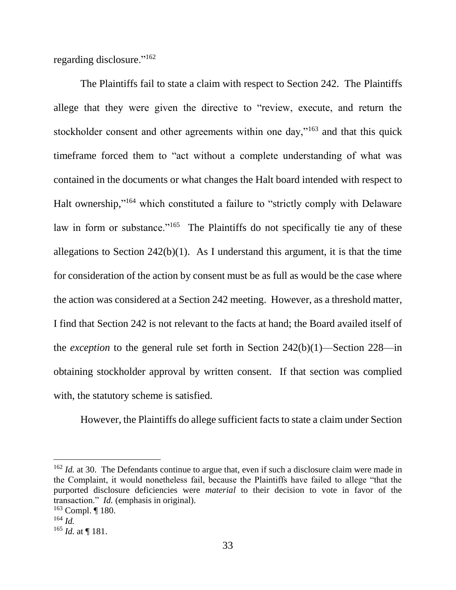regarding disclosure."<sup>162</sup>

The Plaintiffs fail to state a claim with respect to Section 242. The Plaintiffs allege that they were given the directive to "review, execute, and return the stockholder consent and other agreements within one day,"<sup>163</sup> and that this quick timeframe forced them to "act without a complete understanding of what was contained in the documents or what changes the Halt board intended with respect to Halt ownership,"<sup>164</sup> which constituted a failure to "strictly comply with Delaware law in form or substance."<sup>165</sup> The Plaintiffs do not specifically tie any of these allegations to Section  $242(b)(1)$ . As I understand this argument, it is that the time for consideration of the action by consent must be as full as would be the case where the action was considered at a Section 242 meeting. However, as a threshold matter, I find that Section 242 is not relevant to the facts at hand; the Board availed itself of the *exception* to the general rule set forth in Section 242(b)(1)—Section 228—in obtaining stockholder approval by written consent. If that section was complied with, the statutory scheme is satisfied.

However, the Plaintiffs do allege sufficient facts to state a claim under Section

<sup>&</sup>lt;sup>162</sup> *Id.* at 30. The Defendants continue to argue that, even if such a disclosure claim were made in the Complaint, it would nonetheless fail, because the Plaintiffs have failed to allege "that the purported disclosure deficiencies were *material* to their decision to vote in favor of the transaction." *Id.* (emphasis in original).

 $163$  Compl. | 180.

<sup>164</sup> *Id.*

 $165$  *Id.* at ¶ 181.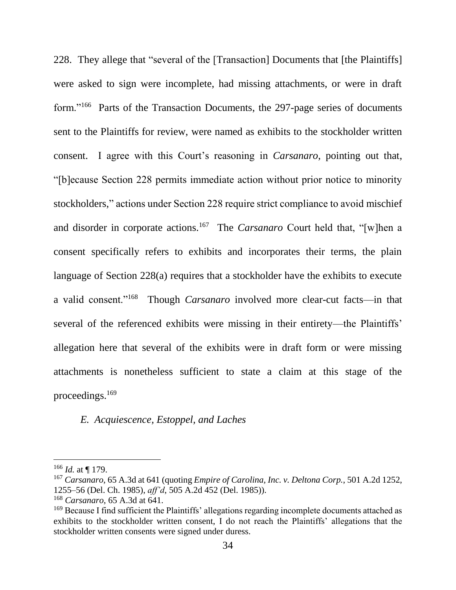228. They allege that "several of the [Transaction] Documents that [the Plaintiffs] were asked to sign were incomplete, had missing attachments, or were in draft form."<sup>166</sup> Parts of the Transaction Documents, the 297-page series of documents sent to the Plaintiffs for review, were named as exhibits to the stockholder written consent. I agree with this Court's reasoning in *Carsanaro*, pointing out that, "[b]ecause Section 228 permits immediate action without prior notice to minority stockholders," actions under Section 228 require strict compliance to avoid mischief and disorder in corporate actions.<sup>167</sup> The *Carsanaro* Court held that, "[w]hen a consent specifically refers to exhibits and incorporates their terms, the plain language of Section 228(a) requires that a stockholder have the exhibits to execute a valid consent."<sup>168</sup> Though *Carsanaro* involved more clear-cut facts—in that several of the referenced exhibits were missing in their entirety—the Plaintiffs' allegation here that several of the exhibits were in draft form or were missing attachments is nonetheless sufficient to state a claim at this stage of the proceedings.<sup>169</sup>

## *E. Acquiescence, Estoppel, and Laches*

<sup>166</sup> *Id.* at ¶ 179.

<sup>167</sup> *Carsanaro*, 65 A.3d at 641 (quoting *Empire of Carolina, Inc. v. Deltona Corp.*, 501 A.2d 1252, 1255–56 (Del. Ch. 1985), *aff'd*, 505 A.2d 452 (Del. 1985)).

<sup>168</sup> *Carsanaro*, 65 A.3d at 641.

<sup>&</sup>lt;sup>169</sup> Because I find sufficient the Plaintiffs' allegations regarding incomplete documents attached as exhibits to the stockholder written consent, I do not reach the Plaintiffs' allegations that the stockholder written consents were signed under duress.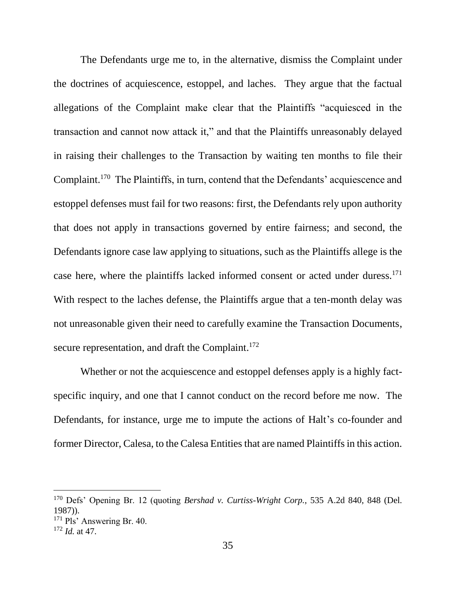The Defendants urge me to, in the alternative, dismiss the Complaint under the doctrines of acquiescence, estoppel, and laches. They argue that the factual allegations of the Complaint make clear that the Plaintiffs "acquiesced in the transaction and cannot now attack it," and that the Plaintiffs unreasonably delayed in raising their challenges to the Transaction by waiting ten months to file their Complaint.<sup>170</sup> The Plaintiffs, in turn, contend that the Defendants' acquiescence and estoppel defenses must fail for two reasons: first, the Defendants rely upon authority that does not apply in transactions governed by entire fairness; and second, the Defendants ignore case law applying to situations, such as the Plaintiffs allege is the case here, where the plaintiffs lacked informed consent or acted under duress.<sup>171</sup> With respect to the laches defense, the Plaintiffs argue that a ten-month delay was not unreasonable given their need to carefully examine the Transaction Documents, secure representation, and draft the Complaint.<sup>172</sup>

Whether or not the acquiescence and estoppel defenses apply is a highly factspecific inquiry, and one that I cannot conduct on the record before me now. The Defendants, for instance, urge me to impute the actions of Halt's co-founder and former Director, Calesa, to the Calesa Entities that are named Plaintiffs in this action.

<sup>170</sup> Defs' Opening Br. 12 (quoting *Bershad v. Curtiss-Wright Corp.*, 535 A.2d 840, 848 (Del. 1987)).

<sup>171</sup> Pls' Answering Br. 40.

<sup>172</sup> *Id.* at 47.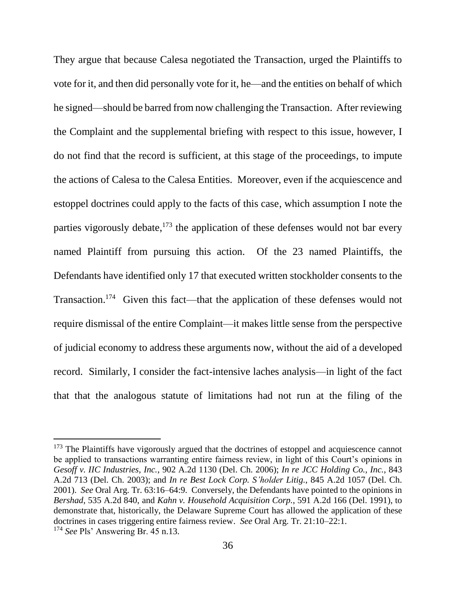They argue that because Calesa negotiated the Transaction, urged the Plaintiffs to vote for it, and then did personally vote for it, he—and the entities on behalf of which he signed—should be barred from now challenging the Transaction. After reviewing the Complaint and the supplemental briefing with respect to this issue, however, I do not find that the record is sufficient, at this stage of the proceedings, to impute the actions of Calesa to the Calesa Entities. Moreover, even if the acquiescence and estoppel doctrines could apply to the facts of this case, which assumption I note the parties vigorously debate,<sup>173</sup> the application of these defenses would not bar every named Plaintiff from pursuing this action. Of the 23 named Plaintiffs, the Defendants have identified only 17 that executed written stockholder consents to the Transaction.<sup>174</sup> Given this fact—that the application of these defenses would not require dismissal of the entire Complaint—it makes little sense from the perspective of judicial economy to address these arguments now, without the aid of a developed record. Similarly, I consider the fact-intensive laches analysis—in light of the fact that that the analogous statute of limitations had not run at the filing of the

 $173$  The Plaintiffs have vigorously argued that the doctrines of estoppel and acquiescence cannot be applied to transactions warranting entire fairness review, in light of this Court's opinions in *Gesoff v. IIC Industries, Inc.*, 902 A.2d 1130 (Del. Ch. 2006); *In re JCC Holding Co., Inc.*, 843 A.2d 713 (Del. Ch. 2003); and *In re Best Lock Corp. S'holder Litig.*, 845 A.2d 1057 (Del. Ch. 2001). *See* Oral Arg. Tr. 63:16–64:9. Conversely, the Defendants have pointed to the opinions in *Bershad*, 535 A.2d 840, and *Kahn v. Household Acquisition Corp.*, 591 A.2d 166 (Del. 1991), to demonstrate that, historically, the Delaware Supreme Court has allowed the application of these doctrines in cases triggering entire fairness review. *See* Oral Arg. Tr. 21:10–22:1. <sup>174</sup> *See* Pls' Answering Br. 45 n.13.